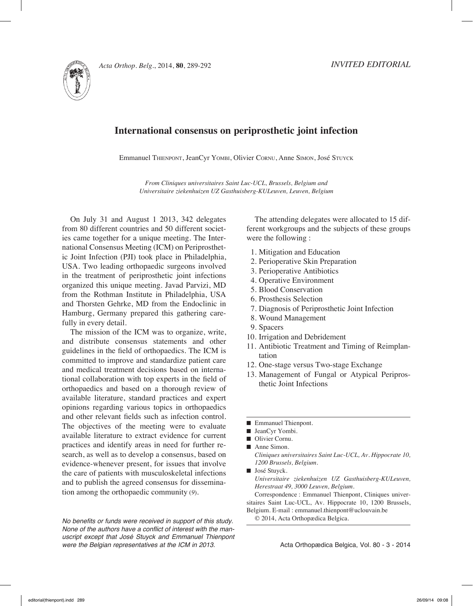

## **International consensus on periprosthetic joint infection**

Emmanuel THIENPONT, JeanCyr YOMBI, Olivier CORNU, Anne SIMON, José STUYCK

*From Cliniques universitaires Saint Luc-UCL, Brussels, Belgium and Universitaire ziekenhuizen UZ Gasthuisberg-KULeuven, Leuven, Belgium*

On July 31 and August 1 2013, 342 delegates from 80 different countries and 50 different societies came together for a unique meeting. The International Consensus Meeting (ICM) on Periprosthetic Joint Infection (PJI) took place in Philadelphia, USA. Two leading orthopaedic surgeons involved in the treatment of periprosthetic joint infections organized this unique meeting. Javad Parvizi, MD from the Rothman Institute in Philadelphia, USA and Thorsten Gehrke, MD from the Endoclinic in Hamburg, Germany prepared this gathering carefully in every detail.

The mission of the ICM was to organize, write, and distribute consensus statements and other guidelines in the field of orthopaedics. The ICM is committed to improve and standardize patient care and medical treatment decisions based on international collaboration with top experts in the field of orthopaedics and based on a thorough review of available literature, standard practices and expert opinions regarding various topics in orthopaedics and other relevant fields such as infection control. The objectives of the meeting were to evaluate available literature to extract evidence for current practices and identify areas in need for further research, as well as to develop a consensus, based on evidence-whenever present, for issues that involve the care of patients with musculoskeletal infections and to publish the agreed consensus for dissemination among the orthopaedic community (*9*).

*No benefits or funds were received in support of this study.* None of the authors have a conflict of interest with the manuscript except that José Stuyck and Emmanuel Thienpont were the Belgian representatives at the ICM in 2013.

The attending delegates were allocated to 15 different workgroups and the subjects of these groups were the following :

- 1. Mitigation and Education
- 2. Perioperative Skin Preparation
- 3. Perioperative Antibiotics
- 4. Operative Environment
- 5. Blood Conservation
- 6. Prosthesis Selection
- 7. Diagnosis of Periprosthetic Joint Infection
- 8. Wound Management
- 9. Spacers
- 10. Irrigation and Debridement
- 11. Antibiotic Treatment and Timing of Reimplantation
- 12. One-stage versus Two-stage Exchange
- 13. Management of Fungal or Atypical Periprosthetic Joint Infections
- Emmanuel Thienpont.
- JeanCyr Yombi.
- Olivier Cornu.
- Anne Simon.

*Cliniques universitaires Saint Luc-UCL, Av. Hippocrate 10, 1200 Brussels, Belgium.*

■ José Stuyck. *Universitaire ziekenhuizen UZ Gasthuisberg-KULeuven, Herestraat 49, 3000 Leuven, Belgium.*

Correspondence : Emmanuel Thienpont, Cliniques universitaires Saint Luc-UCL, Av. Hippocrate 10, 1200 Brussels, Belgium. E-mail : emmanuel.thienpont@uclouvain.be

© 2014, Acta Orthopædica Belgica.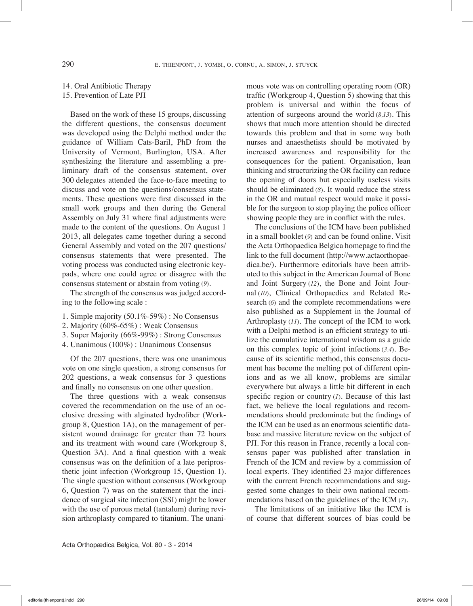## 14. Oral Antibiotic Therapy 15. Prevention of Late PJI

Based on the work of these 15 groups, discussing the different questions, the consensus document was developed using the Delphi method under the guidance of William Cats-Baril, PhD from the University of Vermont, Burlington, USA. After synthesizing the literature and assembling a preliminary draft of the consensus statement, over 300 delegates attended the face-to-face meeting to discuss and vote on the questions/consensus statements. These questions were first discussed in the small work groups and then during the General Assembly on July 31 where final adjustments were made to the content of the questions. On August 1 2013, all delegates came together during a second General Assembly and voted on the 207 questions/ consensus statements that were presented. The voting process was conducted using electronic keypads, where one could agree or disagree with the consensus statement or abstain from voting (*9*).

The strength of the consensus was judged according to the following scale :

- 1. Simple majority (50.1%-59%) : No Consensus
- 2. Majority (60%-65%) : Weak Consensus
- 3. Super Majority (66%-99%) : Strong Consensus
- 4. Unanimous (100%) : Unanimous Consensus

Of the 207 questions, there was one unanimous vote on one single question, a strong consensus for 202 questions, a weak consensus for 3 questions and finally no consensus on one other question.

The three questions with a weak consensus covered the recommendation on the use of an occlusive dressing with alginated hydrofiber (Workgroup 8, Question 1A), on the management of persistent wound drainage for greater than 72 hours and its treatment with wound care (Workgroup 8, Question 3A). And a final question with a weak consensus was on the definition of a late periprosthetic joint infection (Workgroup 15, Question 1). The single question without consensus (Workgroup 6, Question 7) was on the statement that the incidence of surgical site infection (SSI) might be lower with the use of porous metal (tantalum) during revision arthroplasty compared to titanium. The unanimous vote was on controlling operating room (OR) traffic (Workgroup 4, Question 5) showing that this problem is universal and within the focus of attention of surgeons around the world (*8,13*). This shows that much more attention should be directed towards this problem and that in some way both nurses and anaesthetists should be motivated by increased awareness and responsibility for the consequences for the patient. Organisation, lean thinking and structurizing the OR facility can reduce the opening of doors but especially useless visits should be eliminated (*8*). It would reduce the stress in the OR and mutual respect would make it possible for the surgeon to stop playing the police officer showing people they are in conflict with the rules.

The conclusions of the ICM have been published in a small booklet (*9*) and can be found online. Visit the Acta Orthopaedica Belgica homepage to find the link to the full document (http://www.actaorthopaedica.be/). Furthermore editorials have been attributed to this subject in the American Journal of Bone and Joint Surgery (*12*), the Bone and Joint Journal (*10*), Clinical Orthopaedics and Related Research (*6*) and the complete recommendations were also published as a Supplement in the Journal of Arthroplasty (*11*). The concept of the ICM to work with a Delphi method is an efficient strategy to utilize the cumulative international wisdom as a guide on this complex topic of joint infections (*3,4*). Because of its scientific method, this consensus document has become the melting pot of different opinions and as we all know, problems are similar everywhere but always a little bit different in each specific region or country (*1*). Because of this last fact, we believe the local regulations and recommendations should predominate but the findings of the ICM can be used as an enormous scientific database and massive literature review on the subject of PJI. For this reason in France, recently a local consensus paper was published after translation in French of the ICM and review by a commission of local experts. They identified 23 major differences with the current French recommendations and suggested some changes to their own national recommendations based on the guidelines of the ICM (*7*).

The limitations of an initiative like the ICM is of course that different sources of bias could be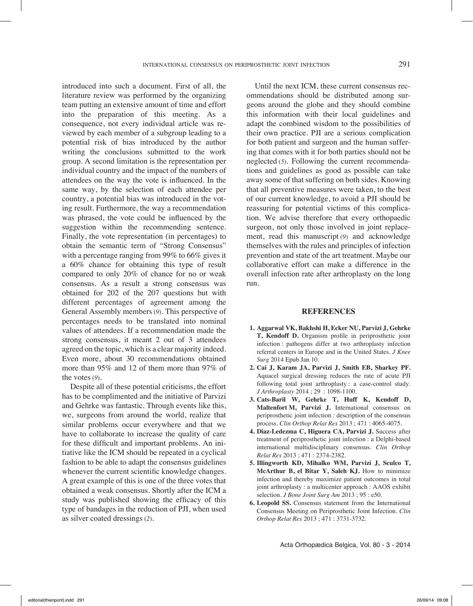introduced into such a document. First of all, the literature review was performed by the organizing team putting an extensive amount of time and effort into the preparation of this meeting. As a consequence, not every individual article was reviewed by each member of a subgroup leading to a potential risk of bias introduced by the author writing the conclusions submitted to the work group. A second limitation is the representation per individual country and the impact of the numbers of attendees on the way the vote is influenced. In the same way, by the selection of each attendee per country, a potential bias was introduced in the voting result. Furthermore, the way a recommendation was phrased, the vote could be influenced by the suggestion within the recommending sentence. Finally, the vote representation (in percentages) to obtain the semantic term of "Strong Consensus" with a percentage ranging from 99% to 66% gives it a 60% chance for obtaining this type of result compared to only 20% of chance for no or weak consensus. As a result a strong consensus was obtained for 202 of the 207 questions but with different percentages of agreement among the General Assembly members (*9*). This perspective of percentages needs to be translated into nominal values of attendees. If a recommendation made the strong consensus, it meant 2 out of 3 attendees agreed on the topic, which is a clear majority indeed. Even more, about 30 recommendations obtained more than 95% and 12 of them more than 97% of the votes (*9*).

Despite all of these potential criticisms, the effort has to be complimented and the initiative of Parvizi and Gehrke was fantastic. Through events like this, we, surgeons from around the world, realize that similar problems occur everywhere and that we have to collaborate to increase the quality of care for these difficult and important problems. An initiative like the ICM should be repeated in a cyclical fashion to be able to adapt the consensus guidelines whenever the current scientific knowledge changes. A great example of this is one of the three votes that obtained a weak consensus. Shortly after the ICM a study was published showing the efficacy of this type of bandages in the reduction of PJI, when used as silver coated dressings (*2*).

Until the next ICM, these current consensus recommendations should be distributed among surgeons around the globe and they should combine this information with their local guidelines and adapt the combined wisdom to the possibilities of their own practice. PJI are a serious complication for both patient and surgeon and the human suffering that comes with it for both parties should not be neglected (*5*). Following the current recommendations and guidelines as good as possible can take away some of that suffering on both sides. Knowing that all preventive measures were taken, to the best of our current knowledge, to avoid a PJI should be reassuring for potential victims of this complication. We advise therefore that every orthopaedic surgeon, not only those involved in joint replacement, read this manuscript (*9*) and acknowledge themselves with the rules and principles of infection prevention and state of the art treatment. Maybe our collaborative effort can make a difference in the overall infection rate after arthroplasty on the long run.

## **References**

- **1. Aggarwal VK, Bakhshi H, Ecker NU, Parvizi J, Gehrke T, Kendoff D.** Organism profile in periprosthetic joint infection : pathogens differ at two arthroplasty infection referral centers in Europe and in the United States. *J Knee Surg* 2014 Epub Jan 10.
- **2. Cai J, Karam JA, Parvizi J, Smith EB, Sharkey PF.**  Aquacel surgical dressing reduces the rate of acute PJI following total joint arthroplasty : a case-control study. *J Arthroplasty* 2014 ; 29 : 1098-1100.
- **3. Cats-Baril W, Gehrke T, Huff K, Kendoff D, Maltenfort M, Parvizi J.** International consensus on periprosthetic joint infection : description of the consensus process. *Clin Orthop Relat Res* 2013 ; 471 : 4065-4075.
- **4. Diaz-Ledezma C, Higuera CA, Parvizi J.** Success after treatment of periprosthetic joint infection : a Delphi-based international multidisciplinary consensus. *Clin Orthop Relat Res* 2013 ; 471 : 2374-2382.
- **5. Illingworth KD, Mihalko WM, Parvizi J, Sculco T,**  McArthur B, el Bitar Y, Saleh KJ. How to minimize infection and thereby maximize patient outcomes in total joint arthroplasty : a multicenter approach : AAOS exhibit selection. *J Bone Joint Surg Am* 2013 ; 95 : e50.
- **6. Leopold SS.** Consensus statement from the International Consensus Meeting on Periprosthetic Joint Infection. *Clin Orthop Relat Res* 2013 ; 471 : 3731-3732.